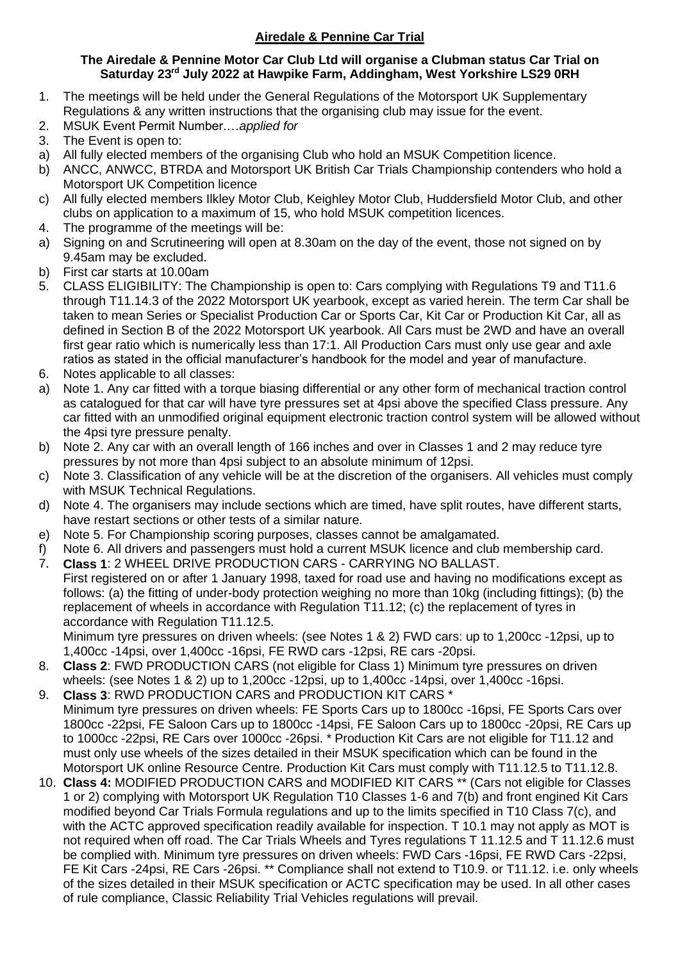## **Airedale & Pennine Car Trial**

## **The Airedale & Pennine Motor Car Club Ltd will organise a Clubman status Car Trial on Saturday 23 rd July 2022 at Hawpike Farm, Addingham, West Yorkshire LS29 0RH**

- 1. The meetings will be held under the General Regulations of the Motorsport UK Supplementary Regulations & any written instructions that the organising club may issue for the event.
- 2. MSUK Event Permit Number.…*applied for*
- 3. The Event is open to:
- a) All fully elected members of the organising Club who hold an MSUK Competition licence.
- b) ANCC, ANWCC, BTRDA and Motorsport UK British Car Trials Championship contenders who hold a Motorsport UK Competition licence
- c) All fully elected members Ilkley Motor Club, Keighley Motor Club, Huddersfield Motor Club, and other clubs on application to a maximum of 15, who hold MSUK competition licences.
- 4. The programme of the meetings will be:
- a) Signing on and Scrutineering will open at 8.30am on the day of the event, those not signed on by 9.45am may be excluded.
- b) First car starts at 10.00am
- 5. CLASS ELIGIBILITY: The Championship is open to: Cars complying with Regulations T9 and T11.6 through T11.14.3 of the 2022 Motorsport UK yearbook, except as varied herein. The term Car shall be taken to mean Series or Specialist Production Car or Sports Car, Kit Car or Production Kit Car, all as defined in Section B of the 2022 Motorsport UK yearbook. All Cars must be 2WD and have an overall first gear ratio which is numerically less than 17:1. All Production Cars must only use gear and axle ratios as stated in the official manufacturer's handbook for the model and year of manufacture.
- 6. Notes applicable to all classes:
- a) Note 1. Any car fitted with a torque biasing differential or any other form of mechanical traction control as catalogued for that car will have tyre pressures set at 4psi above the specified Class pressure. Any car fitted with an unmodified original equipment electronic traction control system will be allowed without the 4psi tyre pressure penalty.
- b) Note 2. Any car with an overall length of 166 inches and over in Classes 1 and 2 may reduce tyre pressures by not more than 4psi subject to an absolute minimum of 12psi.
- c) Note 3. Classification of any vehicle will be at the discretion of the organisers. All vehicles must comply with MSUK Technical Regulations.
- d) Note 4. The organisers may include sections which are timed, have split routes, have different starts, have restart sections or other tests of a similar nature.
- e) Note 5. For Championship scoring purposes, classes cannot be amalgamated.
- f) Note 6. All drivers and passengers must hold a current MSUK licence and club membership card.
- 7. **Class 1**: 2 WHEEL DRIVE PRODUCTION CARS CARRYING NO BALLAST. First registered on or after 1 January 1998, taxed for road use and having no modifications except as follows: (a) the fitting of under-body protection weighing no more than 10kg (including fittings); (b) the replacement of wheels in accordance with Regulation T11.12; (c) the replacement of tyres in accordance with Regulation T11.12.5.

Minimum tyre pressures on driven wheels: (see Notes 1 & 2) FWD cars: up to 1,200cc -12psi, up to 1,400cc -14psi, over 1,400cc -16psi, FE RWD cars -12psi, RE cars -20psi.

- 8. **Class 2**: FWD PRODUCTION CARS (not eligible for Class 1) Minimum tyre pressures on driven wheels: (see Notes 1 & 2) up to 1,200cc -12psi, up to 1,400cc -14psi, over 1,400cc -16psi.
- 9. **Class 3**: RWD PRODUCTION CARS and PRODUCTION KIT CARS \* Minimum tyre pressures on driven wheels: FE Sports Cars up to 1800cc -16psi, FE Sports Cars over 1800cc -22psi, FE Saloon Cars up to 1800cc -14psi, FE Saloon Cars up to 1800cc -20psi, RE Cars up to 1000cc -22psi, RE Cars over 1000cc -26psi. \* Production Kit Cars are not eligible for T11.12 and must only use wheels of the sizes detailed in their MSUK specification which can be found in the Motorsport UK online Resource Centre. Production Kit Cars must comply with T11.12.5 to T11.12.8.
- 10. **Class 4:** MODIFIED PRODUCTION CARS and MODIFIED KIT CARS \*\* (Cars not eligible for Classes 1 or 2) complying with Motorsport UK Regulation T10 Classes 1-6 and 7(b) and front engined Kit Cars modified beyond Car Trials Formula regulations and up to the limits specified in T10 Class 7(c), and with the ACTC approved specification readily available for inspection. T 10.1 may not apply as MOT is not required when off road. The Car Trials Wheels and Tyres regulations T 11.12.5 and T 11.12.6 must be complied with. Minimum tyre pressures on driven wheels: FWD Cars -16psi, FE RWD Cars -22psi, FE Kit Cars -24psi, RE Cars -26psi. \*\* Compliance shall not extend to T10.9. or T11.12. i.e. only wheels of the sizes detailed in their MSUK specification or ACTC specification may be used. In all other cases of rule compliance, Classic Reliability Trial Vehicles regulations will prevail.